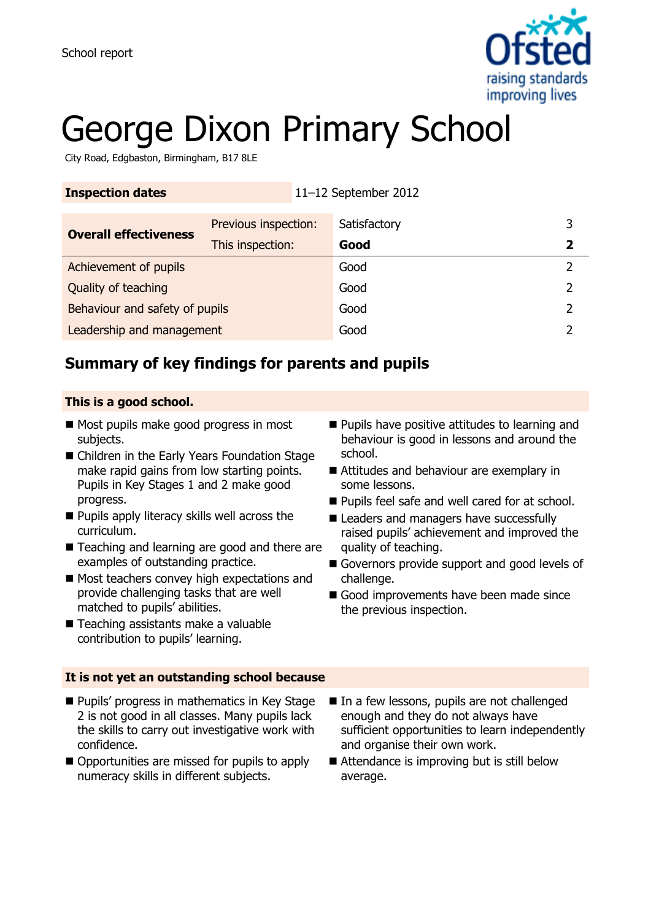

# George Dixon Primary School

City Road, Edgbaston, Birmingham, B17 8LE

| <b>Inspection dates</b>        |                      | 11-12 September 2012 |              |  |
|--------------------------------|----------------------|----------------------|--------------|--|
| <b>Overall effectiveness</b>   | Previous inspection: |                      | Satisfactory |  |
|                                | This inspection:     |                      | Good         |  |
| Achievement of pupils          |                      |                      | Good         |  |
| Quality of teaching            |                      |                      | Good         |  |
| Behaviour and safety of pupils |                      |                      | Good         |  |
| Leadership and management      |                      |                      | Good         |  |

## **Summary of key findings for parents and pupils**

#### **This is a good school.**

- Most pupils make good progress in most subjects.
- Children in the Early Years Foundation Stage make rapid gains from low starting points. Pupils in Key Stages 1 and 2 make good progress.
- **Pupils apply literacy skills well across the** curriculum.
- Teaching and learning are good and there are examples of outstanding practice.
- Most teachers convey high expectations and provide challenging tasks that are well matched to pupils' abilities.
- Teaching assistants make a valuable contribution to pupils' learning.
- **It is not yet an outstanding school because**
- **Pupils' progress in mathematics in Key Stage** 2 is not good in all classes. Many pupils lack the skills to carry out investigative work with confidence.
- Opportunities are missed for pupils to apply numeracy skills in different subjects.
- **Pupils have positive attitudes to learning and** behaviour is good in lessons and around the school.
- Attitudes and behaviour are exemplary in some lessons.
- **Pupils feel safe and well cared for at school.**
- Leaders and managers have successfully raised pupils' achievement and improved the quality of teaching.
- Governors provide support and good levels of challenge.
- Good improvements have been made since the previous inspection.
- In a few lessons, pupils are not challenged enough and they do not always have sufficient opportunities to learn independently and organise their own work.
- Attendance is improving but is still below average.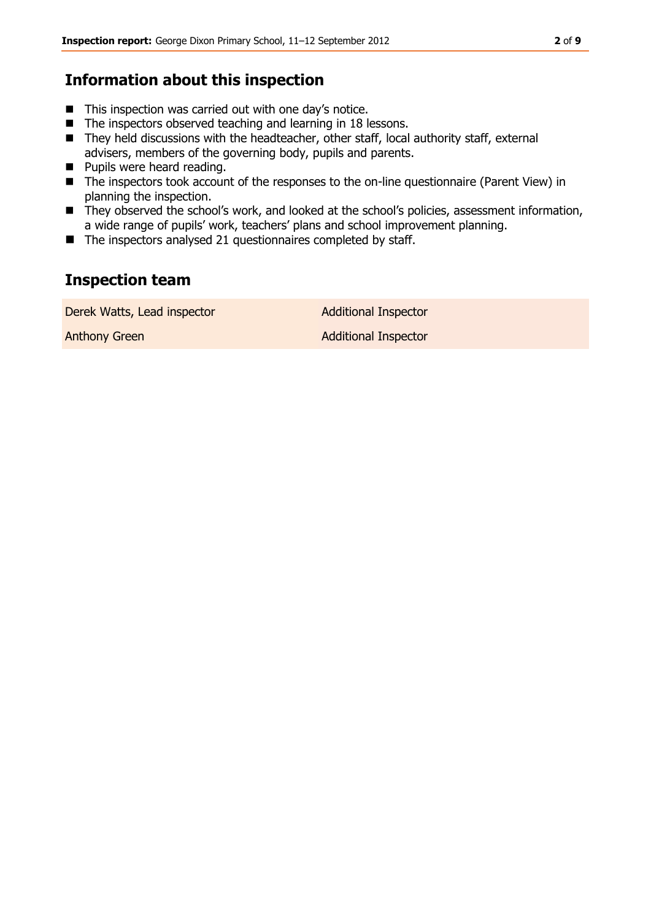### **Information about this inspection**

- This inspection was carried out with one day's notice.
- The inspectors observed teaching and learning in 18 lessons.
- They held discussions with the headteacher, other staff, local authority staff, external advisers, members of the governing body, pupils and parents.
- **Pupils were heard reading.**
- The inspectors took account of the responses to the on-line questionnaire (Parent View) in planning the inspection.
- They observed the school's work, and looked at the school's policies, assessment information, a wide range of pupils' work, teachers' plans and school improvement planning.
- $\blacksquare$  The inspectors analysed 21 questionnaires completed by staff.

## **Inspection team**

Derek Watts, Lead inspector and a Additional Inspector

Anthony Green **Additional Inspector**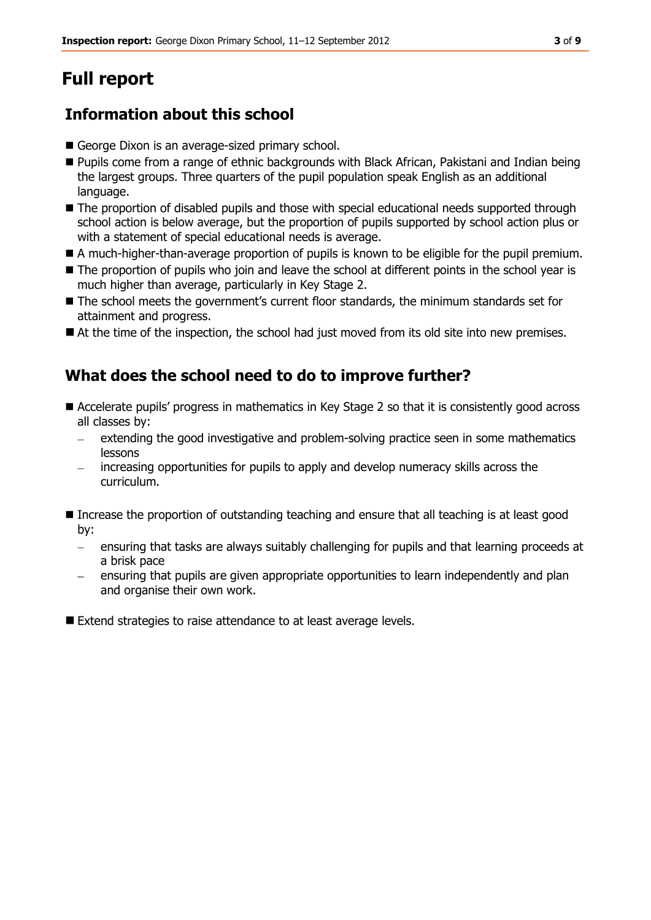# **Full report**

## **Information about this school**

- George Dixon is an average-sized primary school.
- Pupils come from a range of ethnic backgrounds with Black African, Pakistani and Indian being the largest groups. Three quarters of the pupil population speak English as an additional language.
- The proportion of disabled pupils and those with special educational needs supported through school action is below average, but the proportion of pupils supported by school action plus or with a statement of special educational needs is average.
- A much-higher-than-average proportion of pupils is known to be eligible for the pupil premium.
- The proportion of pupils who join and leave the school at different points in the school year is much higher than average, particularly in Key Stage 2.
- The school meets the government's current floor standards, the minimum standards set for attainment and progress.
- At the time of the inspection, the school had just moved from its old site into new premises.

## **What does the school need to do to improve further?**

- Accelerate pupils' progress in mathematics in Key Stage 2 so that it is consistently good across all classes by:
	- extending the good investigative and problem-solving practice seen in some mathematics  $\equiv$ lessons
	- increasing opportunities for pupils to apply and develop numeracy skills across the curriculum.
- Increase the proportion of outstanding teaching and ensure that all teaching is at least good by:
	- $\epsilon$  ensuring that tasks are always suitably challenging for pupils and that learning proceeds at a brisk pace
	- ensuring that pupils are given appropriate opportunities to learn independently and plan and organise their own work.

Extend strategies to raise attendance to at least average levels.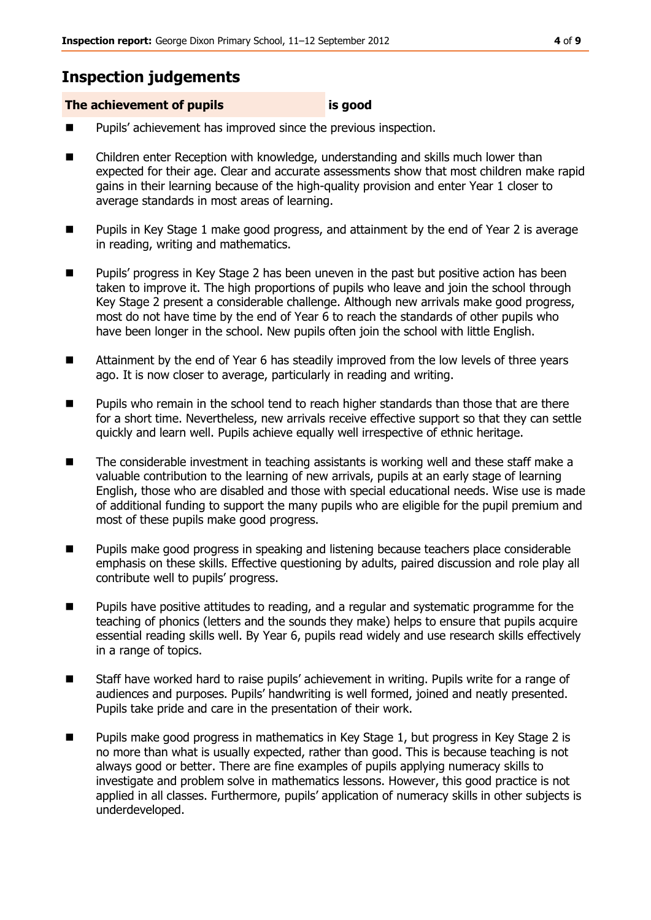## **Inspection judgements**

#### **The achievement of pupils is good**

- Pupils' achievement has improved since the previous inspection.
- Children enter Reception with knowledge, understanding and skills much lower than expected for their age. Clear and accurate assessments show that most children make rapid gains in their learning because of the high-quality provision and enter Year 1 closer to average standards in most areas of learning.
- Pupils in Key Stage 1 make good progress, and attainment by the end of Year 2 is average in reading, writing and mathematics.
- Pupils' progress in Key Stage 2 has been uneven in the past but positive action has been taken to improve it. The high proportions of pupils who leave and join the school through Key Stage 2 present a considerable challenge. Although new arrivals make good progress, most do not have time by the end of Year 6 to reach the standards of other pupils who have been longer in the school. New pupils often join the school with little English.
- Attainment by the end of Year 6 has steadily improved from the low levels of three years ago. It is now closer to average, particularly in reading and writing.
- **Pupils who remain in the school tend to reach higher standards than those that are there** for a short time. Nevertheless, new arrivals receive effective support so that they can settle quickly and learn well. Pupils achieve equally well irrespective of ethnic heritage.
- The considerable investment in teaching assistants is working well and these staff make a valuable contribution to the learning of new arrivals, pupils at an early stage of learning English, those who are disabled and those with special educational needs. Wise use is made of additional funding to support the many pupils who are eligible for the pupil premium and most of these pupils make good progress.
- **Pupils make good progress in speaking and listening because teachers place considerable** emphasis on these skills. Effective questioning by adults, paired discussion and role play all contribute well to pupils' progress.
- **Pupils have positive attitudes to reading, and a regular and systematic programme for the** teaching of phonics (letters and the sounds they make) helps to ensure that pupils acquire essential reading skills well. By Year 6, pupils read widely and use research skills effectively in a range of topics.
- Staff have worked hard to raise pupils' achievement in writing. Pupils write for a range of audiences and purposes. Pupils' handwriting is well formed, joined and neatly presented. Pupils take pride and care in the presentation of their work.
- Pupils make good progress in mathematics in Key Stage 1, but progress in Key Stage 2 is no more than what is usually expected, rather than good. This is because teaching is not always good or better. There are fine examples of pupils applying numeracy skills to investigate and problem solve in mathematics lessons. However, this good practice is not applied in all classes. Furthermore, pupils' application of numeracy skills in other subjects is underdeveloped.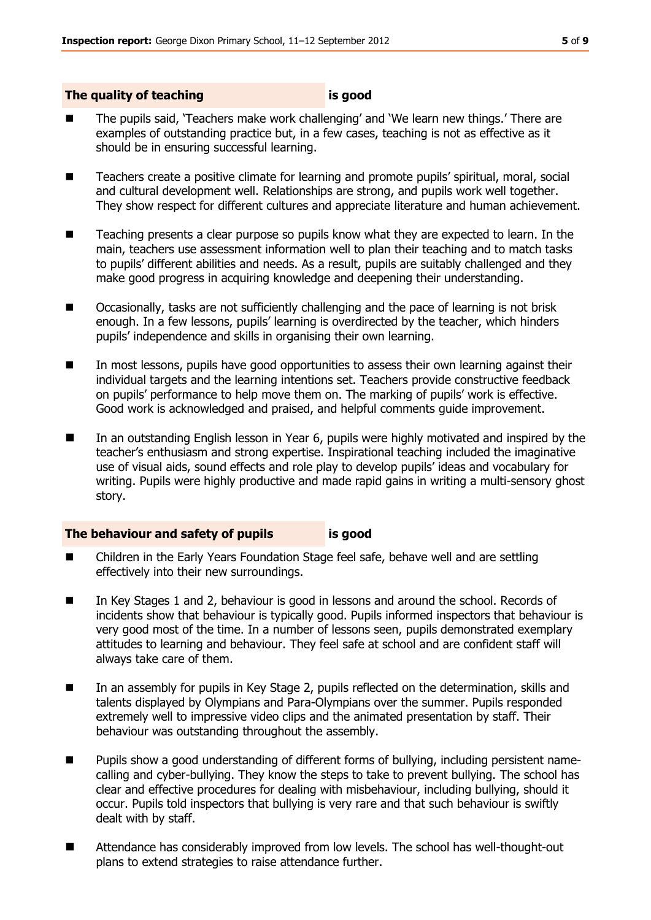#### **The quality of teaching is good**

- The pupils said, 'Teachers make work challenging' and 'We learn new things.' There are examples of outstanding practice but, in a few cases, teaching is not as effective as it should be in ensuring successful learning.
- Teachers create a positive climate for learning and promote pupils' spiritual, moral, social and cultural development well. Relationships are strong, and pupils work well together. They show respect for different cultures and appreciate literature and human achievement.
- Teaching presents a clear purpose so pupils know what they are expected to learn. In the main, teachers use assessment information well to plan their teaching and to match tasks to pupils' different abilities and needs. As a result, pupils are suitably challenged and they make good progress in acquiring knowledge and deepening their understanding.
- Occasionally, tasks are not sufficiently challenging and the pace of learning is not brisk enough. In a few lessons, pupils' learning is overdirected by the teacher, which hinders pupils' independence and skills in organising their own learning.
- In most lessons, pupils have good opportunities to assess their own learning against their individual targets and the learning intentions set. Teachers provide constructive feedback on pupils' performance to help move them on. The marking of pupils' work is effective. Good work is acknowledged and praised, and helpful comments guide improvement.
- In an outstanding English lesson in Year 6, pupils were highly motivated and inspired by the teacher's enthusiasm and strong expertise. Inspirational teaching included the imaginative use of visual aids, sound effects and role play to develop pupils' ideas and vocabulary for writing. Pupils were highly productive and made rapid gains in writing a multi-sensory ghost story.

#### **The behaviour and safety of pupils is good**

- Children in the Early Years Foundation Stage feel safe, behave well and are settling effectively into their new surroundings.
- In Key Stages 1 and 2, behaviour is good in lessons and around the school. Records of incidents show that behaviour is typically good. Pupils informed inspectors that behaviour is very good most of the time. In a number of lessons seen, pupils demonstrated exemplary attitudes to learning and behaviour. They feel safe at school and are confident staff will always take care of them.
- In an assembly for pupils in Key Stage 2, pupils reflected on the determination, skills and talents displayed by Olympians and Para-Olympians over the summer. Pupils responded extremely well to impressive video clips and the animated presentation by staff. Their behaviour was outstanding throughout the assembly.
- Pupils show a good understanding of different forms of bullying, including persistent namecalling and cyber-bullying. They know the steps to take to prevent bullying. The school has clear and effective procedures for dealing with misbehaviour, including bullying, should it occur. Pupils told inspectors that bullying is very rare and that such behaviour is swiftly dealt with by staff.
- Attendance has considerably improved from low levels. The school has well-thought-out plans to extend strategies to raise attendance further.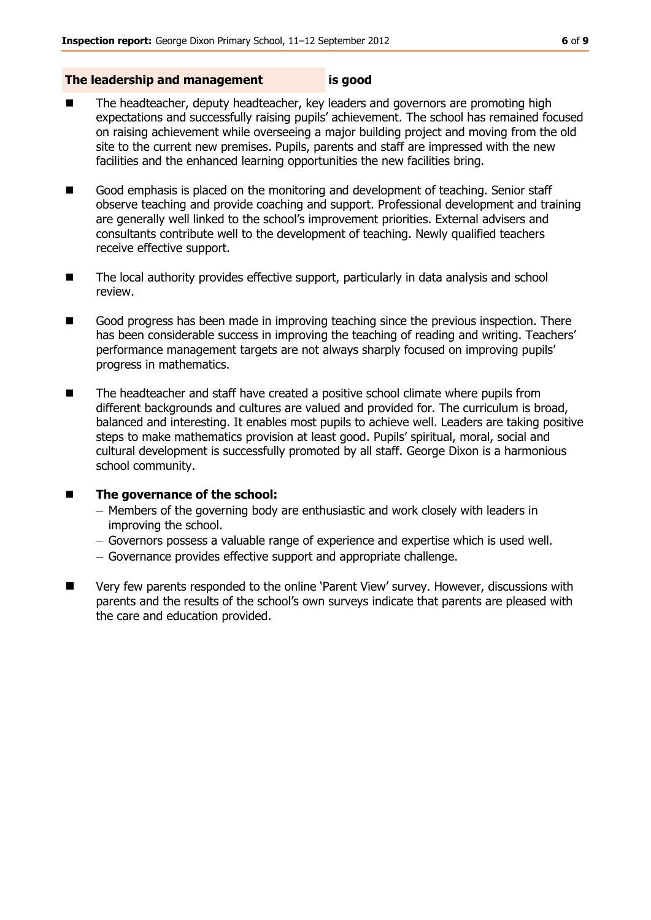#### **The leadership and management is good**

- The headteacher, deputy headteacher, key leaders and governors are promoting high expectations and successfully raising pupils' achievement. The school has remained focused on raising achievement while overseeing a major building project and moving from the old site to the current new premises. Pupils, parents and staff are impressed with the new facilities and the enhanced learning opportunities the new facilities bring.
- Good emphasis is placed on the monitoring and development of teaching. Senior staff observe teaching and provide coaching and support. Professional development and training are generally well linked to the school's improvement priorities. External advisers and consultants contribute well to the development of teaching. Newly qualified teachers receive effective support.
- The local authority provides effective support, particularly in data analysis and school review.
- Good progress has been made in improving teaching since the previous inspection. There has been considerable success in improving the teaching of reading and writing. Teachers' performance management targets are not always sharply focused on improving pupils' progress in mathematics.
- The headteacher and staff have created a positive school climate where pupils from different backgrounds and cultures are valued and provided for. The curriculum is broad, balanced and interesting. It enables most pupils to achieve well. Leaders are taking positive steps to make mathematics provision at least good. Pupils' spiritual, moral, social and cultural development is successfully promoted by all staff. George Dixon is a harmonious school community.

#### ■ The governance of the school:

- Members of the governing body are enthusiastic and work closely with leaders in improving the school.
- Governors possess a valuable range of experience and expertise which is used well.
- Governance provides effective support and appropriate challenge.
- Very few parents responded to the online 'Parent View' survey. However, discussions with parents and the results of the school's own surveys indicate that parents are pleased with the care and education provided.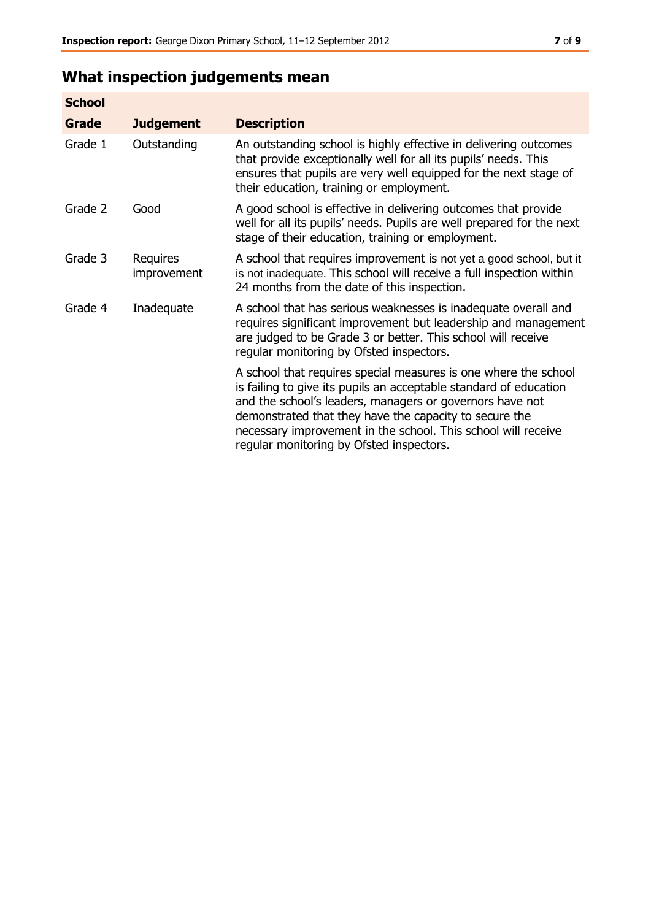# **What inspection judgements mean**

| <b>School</b> |                         |                                                                                                                                                                                                                                                                                                                                                                         |
|---------------|-------------------------|-------------------------------------------------------------------------------------------------------------------------------------------------------------------------------------------------------------------------------------------------------------------------------------------------------------------------------------------------------------------------|
| Grade         | <b>Judgement</b>        | <b>Description</b>                                                                                                                                                                                                                                                                                                                                                      |
| Grade 1       | Outstanding             | An outstanding school is highly effective in delivering outcomes<br>that provide exceptionally well for all its pupils' needs. This<br>ensures that pupils are very well equipped for the next stage of<br>their education, training or employment.                                                                                                                     |
| Grade 2       | Good                    | A good school is effective in delivering outcomes that provide<br>well for all its pupils' needs. Pupils are well prepared for the next<br>stage of their education, training or employment.                                                                                                                                                                            |
| Grade 3       | Requires<br>improvement | A school that requires improvement is not yet a good school, but it<br>is not inadequate. This school will receive a full inspection within<br>24 months from the date of this inspection.                                                                                                                                                                              |
| Grade 4       | Inadequate              | A school that has serious weaknesses is inadequate overall and<br>requires significant improvement but leadership and management<br>are judged to be Grade 3 or better. This school will receive<br>regular monitoring by Ofsted inspectors.                                                                                                                            |
|               |                         | A school that requires special measures is one where the school<br>is failing to give its pupils an acceptable standard of education<br>and the school's leaders, managers or governors have not<br>demonstrated that they have the capacity to secure the<br>necessary improvement in the school. This school will receive<br>regular monitoring by Ofsted inspectors. |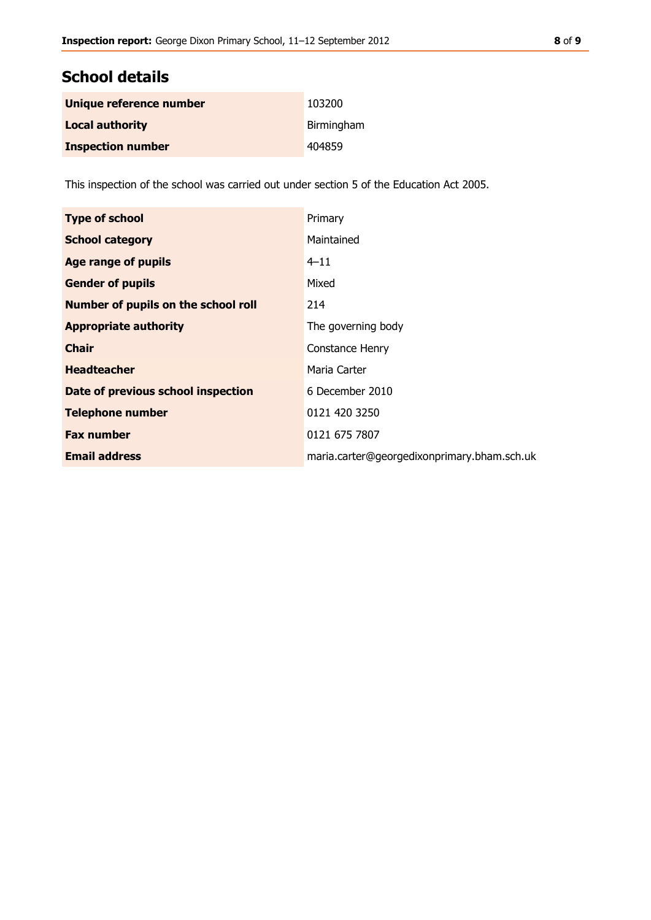## **School details**

| Unique reference number  | 103200     |
|--------------------------|------------|
| <b>Local authority</b>   | Birmingham |
| <b>Inspection number</b> | 404859     |

This inspection of the school was carried out under section 5 of the Education Act 2005.

| <b>Type of school</b>                      | Primary                                     |
|--------------------------------------------|---------------------------------------------|
| <b>School category</b>                     | Maintained                                  |
| Age range of pupils                        | $4 - 11$                                    |
| <b>Gender of pupils</b>                    | Mixed                                       |
| <b>Number of pupils on the school roll</b> | 214                                         |
| <b>Appropriate authority</b>               | The governing body                          |
| <b>Chair</b>                               | Constance Henry                             |
| <b>Headteacher</b>                         | Maria Carter                                |
| Date of previous school inspection         | 6 December 2010                             |
| <b>Telephone number</b>                    | 0121 420 3250                               |
| <b>Fax number</b>                          | 0121 675 7807                               |
| <b>Email address</b>                       | maria.carter@georgedixonprimary.bham.sch.uk |